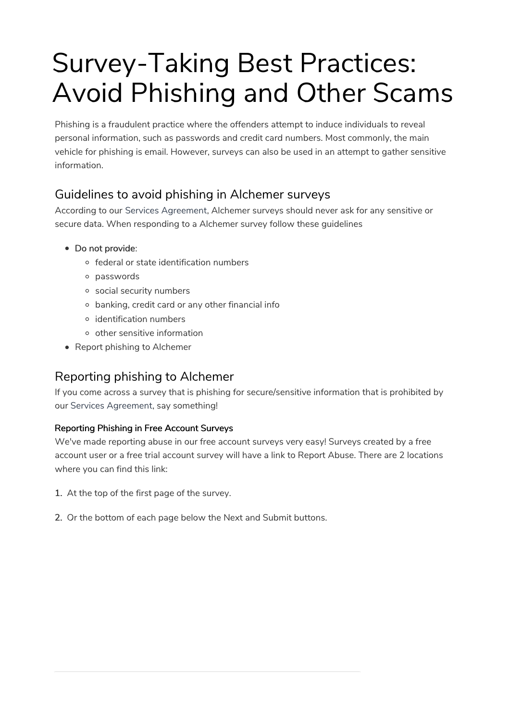# Survey-Taking Best Practices: Avoid Phishing and Other Scams

Phishing is a fraudulent practice where the offenders attempt to induce individuals to reveal personal information, such as passwords and credit card numbers. Most commonly, the main vehicle for phishing is email. However, surveys can also be used in an attempt to gather sensitive information.

## Guidelines to avoid phishing in Alchemer surveys

According to our Services Agreement, Alchemer surveys should never ask for any sensitive or secure data. When responding to a Alchemer survey follow these guidelines

- Do not provide:
	- federal or state identification numbers
	- passwords
	- social security numbers
	- banking, credit card or any other financial info
	- identification numbers
	- o other sensitive information
- Report phishing to Alchemer

## Reporting phishing to Alchemer

If you come across a survey that is phishing for secure/sensitive information that is prohibited by our Services Agreement, say something!

#### Reporting Phishing in Free Account Surveys

We've made reporting abuse in our free account surveys very easy! Surveys created by a free account user or a free trial account survey will have a link to Report Abuse. There are 2 locations where you can find this link:

- 1. At the top of the first page of the survey.
- 2. Or the bottom of each page below the Next and Submit buttons.